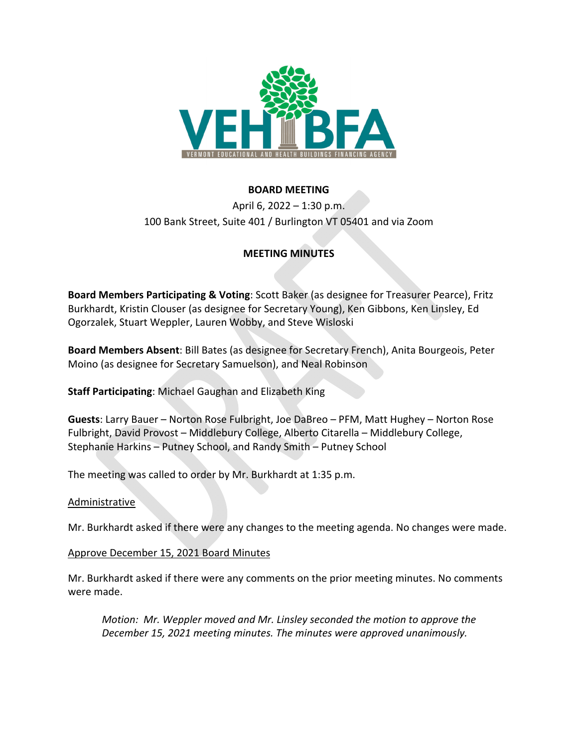

# **BOARD MEETING**

April 6, 2022 – 1:30 p.m. 100 Bank Street, Suite 401 / Burlington VT 05401 and via Zoom

# **MEETING MINUTES**

**Board Members Participating & Voting**: Scott Baker (as designee for Treasurer Pearce), Fritz Burkhardt, Kristin Clouser (as designee for Secretary Young), Ken Gibbons, Ken Linsley, Ed Ogorzalek, Stuart Weppler, Lauren Wobby, and Steve Wisloski

**Board Members Absent**: Bill Bates (as designee for Secretary French), Anita Bourgeois, Peter Moino (as designee for Secretary Samuelson), and Neal Robinson

**Staff Participating**: Michael Gaughan and Elizabeth King

**Guests**: Larry Bauer – Norton Rose Fulbright, Joe DaBreo – PFM, Matt Hughey – Norton Rose Fulbright, David Provost – Middlebury College, Alberto Citarella – Middlebury College, Stephanie Harkins – Putney School, and Randy Smith – Putney School

The meeting was called to order by Mr. Burkhardt at 1:35 p.m.

## Administrative

Mr. Burkhardt asked if there were any changes to the meeting agenda. No changes were made.

#### Approve December 15, 2021 Board Minutes

Mr. Burkhardt asked if there were any comments on the prior meeting minutes. No comments were made.

*Motion: Mr. Weppler moved and Mr. Linsley seconded the motion to approve the December 15, 2021 meeting minutes. The minutes were approved unanimously.*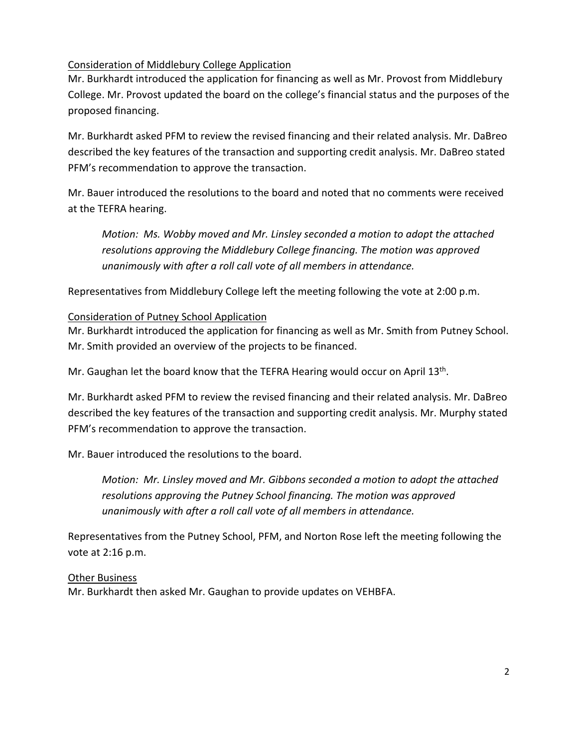# Consideration of Middlebury College Application

Mr. Burkhardt introduced the application for financing as well as Mr. Provost from Middlebury College. Mr. Provost updated the board on the college's financial status and the purposes of the proposed financing.

Mr. Burkhardt asked PFM to review the revised financing and their related analysis. Mr. DaBreo described the key features of the transaction and supporting credit analysis. Mr. DaBreo stated PFM's recommendation to approve the transaction.

Mr. Bauer introduced the resolutions to the board and noted that no comments were received at the TEFRA hearing.

*Motion: Ms. Wobby moved and Mr. Linsley seconded a motion to adopt the attached resolutions approving the Middlebury College financing. The motion was approved unanimously with after a roll call vote of all members in attendance.* 

Representatives from Middlebury College left the meeting following the vote at 2:00 p.m.

## Consideration of Putney School Application

Mr. Burkhardt introduced the application for financing as well as Mr. Smith from Putney School. Mr. Smith provided an overview of the projects to be financed.

Mr. Gaughan let the board know that the TEFRA Hearing would occur on April 13<sup>th</sup>.

Mr. Burkhardt asked PFM to review the revised financing and their related analysis. Mr. DaBreo described the key features of the transaction and supporting credit analysis. Mr. Murphy stated PFM's recommendation to approve the transaction.

Mr. Bauer introduced the resolutions to the board.

*Motion: Mr. Linsley moved and Mr. Gibbons seconded a motion to adopt the attached resolutions approving the Putney School financing. The motion was approved unanimously with after a roll call vote of all members in attendance.* 

Representatives from the Putney School, PFM, and Norton Rose left the meeting following the vote at 2:16 p.m.

## Other Business

Mr. Burkhardt then asked Mr. Gaughan to provide updates on VEHBFA.